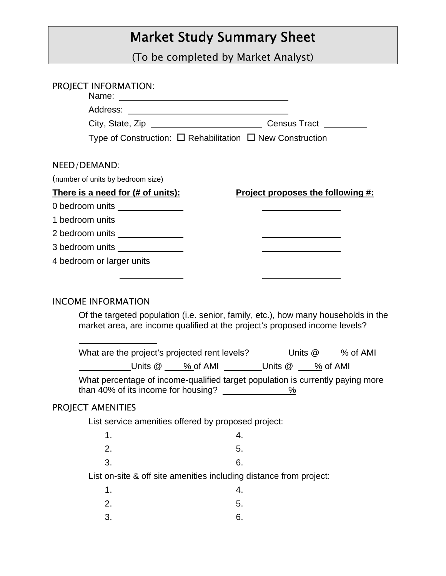## Market Study Summary Sheet

(To be completed by Market Analyst)

| <b>PROJECT INFORMATION:</b>                                                                                                          |                                                                                    |
|--------------------------------------------------------------------------------------------------------------------------------------|------------------------------------------------------------------------------------|
|                                                                                                                                      |                                                                                    |
|                                                                                                                                      |                                                                                    |
| Type of Construction: $\Box$ Rehabilitation $\Box$ New Construction                                                                  |                                                                                    |
|                                                                                                                                      |                                                                                    |
| NEED/DEMAND:                                                                                                                         |                                                                                    |
| (number of units by bedroom size)                                                                                                    |                                                                                    |
| There is a need for (# of units):                                                                                                    | Project proposes the following #:                                                  |
| 0 bedroom units ______________                                                                                                       |                                                                                    |
| 1 bedroom units _______________                                                                                                      |                                                                                    |
| 2 bedroom units _______________                                                                                                      |                                                                                    |
| 3 bedroom units _______________                                                                                                      |                                                                                    |
| 4 bedroom or larger units                                                                                                            |                                                                                    |
|                                                                                                                                      |                                                                                    |
| <b>INCOME INFORMATION</b><br>market area, are income qualified at the project's proposed income levels?                              | Of the targeted population (i.e. senior, family, etc.), how many households in the |
| What are the project's projected rent levels? ________ Units $@ \_\_\_\%$ of AMI                                                     |                                                                                    |
|                                                                                                                                      | Units @ ___ % of AMI ________Units @ ___ % of AMI                                  |
| What percentage of income-qualified target population is currently paying more<br>than 40% of its income for housing? $\frac{96}{2}$ |                                                                                    |
| PROJECT AMENITIES                                                                                                                    |                                                                                    |
| List service amenities offered by proposed project:                                                                                  |                                                                                    |
| 1.                                                                                                                                   | 4.                                                                                 |
| 2.                                                                                                                                   | 5.                                                                                 |
| 3.                                                                                                                                   | 6.                                                                                 |
| List on-site & off site amenities including distance from project:                                                                   |                                                                                    |
| 1.                                                                                                                                   | 4.                                                                                 |
| 2.                                                                                                                                   | 5.                                                                                 |
| 3.                                                                                                                                   | 6.                                                                                 |
|                                                                                                                                      |                                                                                    |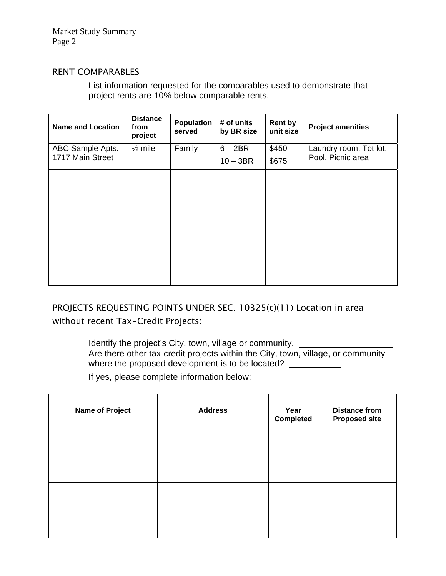Market Study Summary Page 2

## RENT COMPARABLES

List information requested for the comparables used to demonstrate that project rents are 10% below comparable rents.

| <b>Name and Location</b>             | <b>Distance</b><br>from<br>project | Population<br>served | # of units<br>by BR size | <b>Rent by</b><br>unit size | <b>Project amenities</b>                    |
|--------------------------------------|------------------------------------|----------------------|--------------------------|-----------------------------|---------------------------------------------|
| ABC Sample Apts.<br>1717 Main Street | $\frac{1}{2}$ mile                 | Family               | $6 - 2BR$                | \$450                       | Laundry room, Tot lot,<br>Pool, Picnic area |
|                                      |                                    |                      | $10 - 3BR$               | \$675                       |                                             |
|                                      |                                    |                      |                          |                             |                                             |
|                                      |                                    |                      |                          |                             |                                             |
|                                      |                                    |                      |                          |                             |                                             |
|                                      |                                    |                      |                          |                             |                                             |
|                                      |                                    |                      |                          |                             |                                             |
|                                      |                                    |                      |                          |                             |                                             |
|                                      |                                    |                      |                          |                             |                                             |
|                                      |                                    |                      |                          |                             |                                             |

PROJECTS REQUESTING POINTS UNDER SEC. 10325(c)(11) Location in area without recent Tax-Credit Projects:

> Identify the project's City, town, village or community. Are there other tax-credit projects within the City, town, village, or community where the proposed development is to be located?

If yes, please complete information below:

| <b>Name of Project</b> | <b>Address</b> | Year<br><b>Completed</b> | <b>Distance from</b><br><b>Proposed site</b> |
|------------------------|----------------|--------------------------|----------------------------------------------|
|                        |                |                          |                                              |
|                        |                |                          |                                              |
|                        |                |                          |                                              |
|                        |                |                          |                                              |